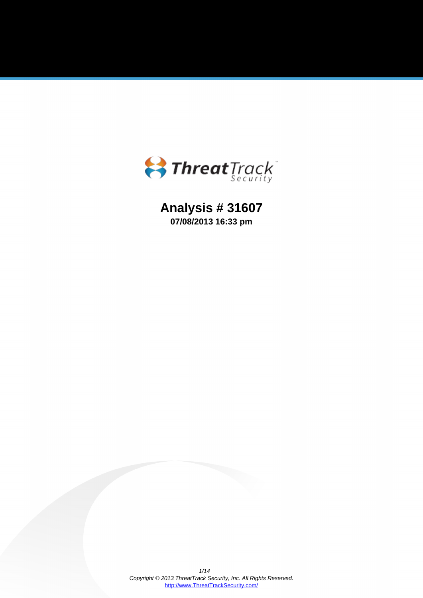

**Analysis # 31607 07/08/2013 16:33 pm**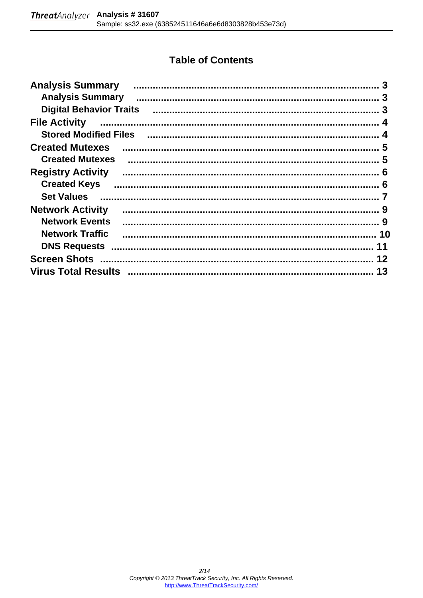# **Table of Contents**

| <b>Analysis Summary</b>                                                                                         | 3  |
|-----------------------------------------------------------------------------------------------------------------|----|
| <b>Analysis Summary</b>                                                                                         |    |
| <b>Digital Behavior Traits</b>                                                                                  |    |
| <b>File Activity</b>                                                                                            |    |
| Stored Modified Files (Manual Manual Manual Manual Manual Manual Manual Manual Manual Manual Manual Manual Manu |    |
| <b>Created Mutexes</b>                                                                                          |    |
| <b>Created Mutexes</b>                                                                                          |    |
| <b>Registry Activity</b>                                                                                        |    |
| <b>Created Keys</b>                                                                                             |    |
| <b>Set Values</b>                                                                                               |    |
| <b>Network Activity</b>                                                                                         |    |
| <b>Network Events</b>                                                                                           |    |
| <b>Network Traffic</b>                                                                                          |    |
| <b>DNS Requests</b>                                                                                             | 11 |
|                                                                                                                 | 12 |
|                                                                                                                 | 13 |
|                                                                                                                 |    |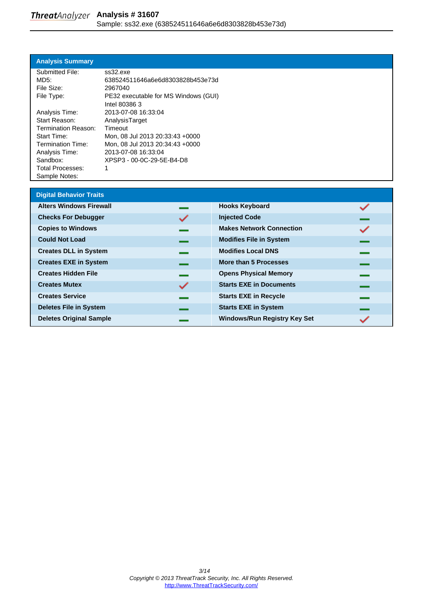#### <span id="page-2-0"></span>**Analysis Summary**

| Submitted File:          | ss32.exe                             |
|--------------------------|--------------------------------------|
| MD5:                     | 638524511646a6e6d8303828b453e73d     |
| File Size:               | 2967040                              |
| File Type:               | PE32 executable for MS Windows (GUI) |
|                          | Intel 80386 3                        |
| Analysis Time:           | 2013-07-08 16:33:04                  |
| Start Reason:            | AnalysisTarget                       |
| Termination Reason:      | Timeout                              |
| <b>Start Time:</b>       | Mon, 08 Jul 2013 20:33:43 +0000      |
| <b>Termination Time:</b> | Mon, 08 Jul 2013 20:34:43 +0000      |
| Analysis Time:           | 2013-07-08 16:33:04                  |
| Sandbox:                 | XPSP3 - 00-0C-29-5E-B4-D8            |
| <b>Total Processes:</b>  | 1                                    |
| Sample Notes:            |                                      |

| <b>Digital Behavior Traits</b> |   |                                     |  |
|--------------------------------|---|-------------------------------------|--|
| <b>Alters Windows Firewall</b> |   | <b>Hooks Keyboard</b>               |  |
| <b>Checks For Debugger</b>     |   | <b>Injected Code</b>                |  |
| <b>Copies to Windows</b>       |   | <b>Makes Network Connection</b>     |  |
| <b>Could Not Load</b>          |   | <b>Modifies File in System</b>      |  |
| <b>Creates DLL in System</b>   |   | <b>Modifies Local DNS</b>           |  |
| <b>Creates EXE in System</b>   |   | <b>More than 5 Processes</b>        |  |
| <b>Creates Hidden File</b>     |   | <b>Opens Physical Memory</b>        |  |
| <b>Creates Mutex</b>           | ✓ | <b>Starts EXE in Documents</b>      |  |
| <b>Creates Service</b>         |   | <b>Starts EXE in Recycle</b>        |  |
| <b>Deletes File in System</b>  |   | <b>Starts EXE in System</b>         |  |
| <b>Deletes Original Sample</b> |   | <b>Windows/Run Registry Key Set</b> |  |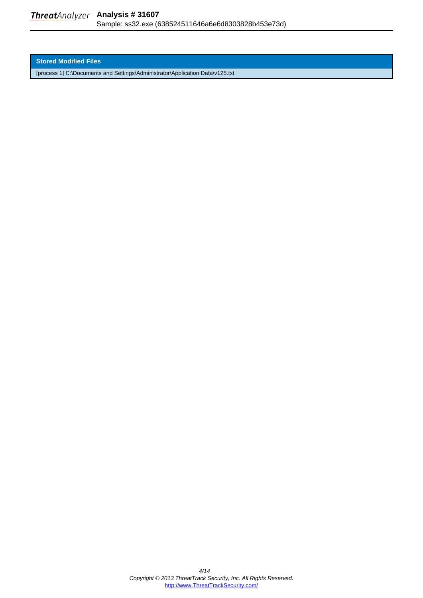<span id="page-3-0"></span>**Stored Modified Files**

[process 1] C:\Documents and Settings\Administrator\Application Data\v125.txt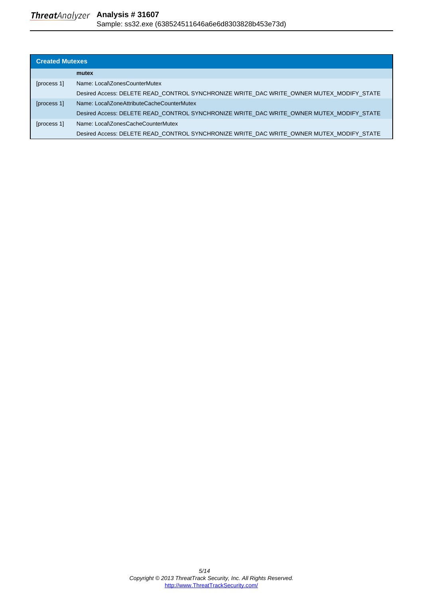<span id="page-4-0"></span>

| <b>Created Mutexes</b> |                                                                                          |  |
|------------------------|------------------------------------------------------------------------------------------|--|
|                        | mutex                                                                                    |  |
| [process 1]            | Name: Local\ZonesCounterMutex                                                            |  |
|                        | Desired Access: DELETE READ CONTROL SYNCHRONIZE WRITE DAC WRITE OWNER MUTEX MODIFY STATE |  |
| [process 1]            | Name: Local\ZoneAttributeCacheCounterMutex                                               |  |
|                        | Desired Access: DELETE READ CONTROL SYNCHRONIZE WRITE DAC WRITE OWNER MUTEX MODIFY STATE |  |
| [process 1]            | Name: Local\ZonesCacheCounterMutex                                                       |  |
|                        | Desired Access: DELETE READ CONTROL SYNCHRONIZE WRITE DAC WRITE OWNER MUTEX MODIFY STATE |  |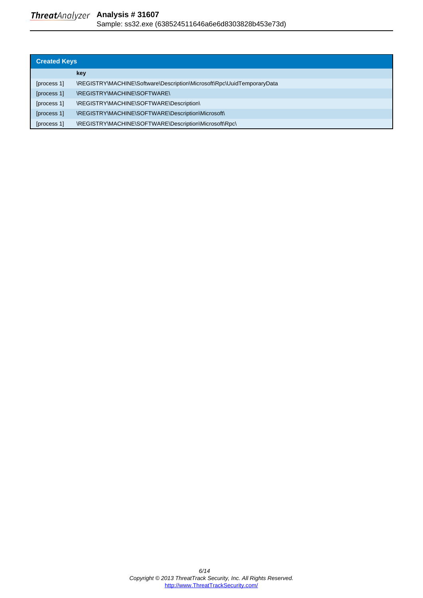<span id="page-5-0"></span>

| <b>Created Keys</b> |                                                                        |  |
|---------------------|------------------------------------------------------------------------|--|
|                     | key                                                                    |  |
| [process 1]         | \REGISTRY\MACHINE\Software\Description\Microsoft\Rpc\UuidTemporaryData |  |
| [process 1]         | \REGISTRY\MACHINE\SOFTWARE\                                            |  |
| [process 1]         | \REGISTRY\MACHINE\SOFTWARE\Description\                                |  |
| [process 1]         | \REGISTRY\MACHINE\SOFTWARE\Description\Microsoft\                      |  |
| [process 1]         | \REGISTRY\MACHINE\SOFTWARE\Description\Microsoft\Rpc\                  |  |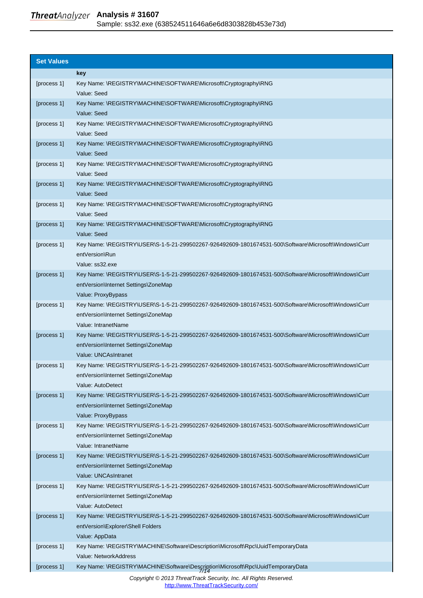<span id="page-6-0"></span>

| <b>Set Values</b> |                                                                                                                                                                      |
|-------------------|----------------------------------------------------------------------------------------------------------------------------------------------------------------------|
|                   | key                                                                                                                                                                  |
| [process 1]       | Key Name: \REGISTRY\MACHINE\SOFTWARE\Microsoft\Cryptography\RNG<br>Value: Seed                                                                                       |
| [process 1]       | Key Name: \REGISTRY\MACHINE\SOFTWARE\Microsoft\Cryptography\RNG<br>Value: Seed                                                                                       |
| [process 1]       | Key Name: \REGISTRY\MACHINE\SOFTWARE\Microsoft\Cryptography\RNG<br>Value: Seed                                                                                       |
| [process 1]       | Key Name: \REGISTRY\MACHINE\SOFTWARE\Microsoft\Cryptography\RNG<br>Value: Seed                                                                                       |
| [process 1]       | Key Name: \REGISTRY\MACHINE\SOFTWARE\Microsoft\Cryptography\RNG<br>Value: Seed                                                                                       |
| [process 1]       | Key Name: \REGISTRY\MACHINE\SOFTWARE\Microsoft\Cryptography\RNG<br>Value: Seed                                                                                       |
| [process 1]       | Key Name: \REGISTRY\MACHINE\SOFTWARE\Microsoft\Cryptography\RNG<br>Value: Seed                                                                                       |
| [process 1]       | Key Name: \REGISTRY\MACHINE\SOFTWARE\Microsoft\Cryptography\RNG<br>Value: Seed                                                                                       |
| [process 1]       | Key Name: \REGISTRY\USER\S-1-5-21-299502267-926492609-1801674531-500\Software\Microsoft\Windows\Curr<br>entVersion\Run<br>Value: ss32.exe                            |
| [process 1]       | Key Name: \REGISTRY\USER\S-1-5-21-299502267-926492609-1801674531-500\Software\Microsoft\Windows\Curr<br>entVersion\Internet Settings\ZoneMap<br>Value: ProxyBypass   |
| [process 1]       | Key Name: \REGISTRY\USER\S-1-5-21-299502267-926492609-1801674531-500\Software\Microsoft\Windows\Curr<br>entVersion\Internet Settings\ZoneMap<br>Value: IntranetName  |
| [process 1]       | Key Name: \REGISTRY\USER\S-1-5-21-299502267-926492609-1801674531-500\Software\Microsoft\Windows\Curr<br>entVersion\Internet Settings\ZoneMap<br>Value: UNCAsIntranet |
| [process 1]       | Key Name: \REGISTRY\USER\S-1-5-21-299502267-926492609-1801674531-500\Software\Microsoft\Windows\Curr<br>entVersion\Internet Settings\ZoneMap<br>Value: AutoDetect    |
| [process 1]       | Key Name: \REGISTRY\USER\S-1-5-21-299502267-926492609-1801674531-500\Software\Microsoft\Windows\Curr<br>entVersion\Internet Settings\ZoneMap<br>Value: ProxyBypass   |
| [process 1]       | Key Name: \REGISTRY\USER\S-1-5-21-299502267-926492609-1801674531-500\Software\Microsoft\Windows\Curr<br>entVersion\Internet Settings\ZoneMap<br>Value: IntranetName  |
| [process 1]       | Key Name: \REGISTRY\USER\S-1-5-21-299502267-926492609-1801674531-500\Software\Microsoft\Windows\Curr<br>entVersion\Internet Settings\ZoneMap<br>Value: UNCAsIntranet |
| [process 1]       | Key Name: \REGISTRY\USER\S-1-5-21-299502267-926492609-1801674531-500\Software\Microsoft\Windows\Curr<br>entVersion\Internet Settings\ZoneMap<br>Value: AutoDetect    |
| [process 1]       | Key Name: \REGISTRY\USER\S-1-5-21-299502267-926492609-1801674531-500\Software\Microsoft\Windows\Curr<br>entVersion\Explorer\Shell Folders<br>Value: AppData          |
| [process 1]       | Key Name: \REGISTRY\MACHINE\Software\Description\Microsoft\Rpc\UuidTemporaryData<br>Value: NetworkAddress                                                            |
| [process 1]       | Key Name: \REGISTRY\MACHINE\Software\Description\Microsoft\Rpc\UuidTemporaryData                                                                                     |

Copyright © 2013 ThreatTrack Security, Inc. All Rights Reserved. [http://www.ThreatTrackSecurity.com/](http://www.threattracksecurity.com/)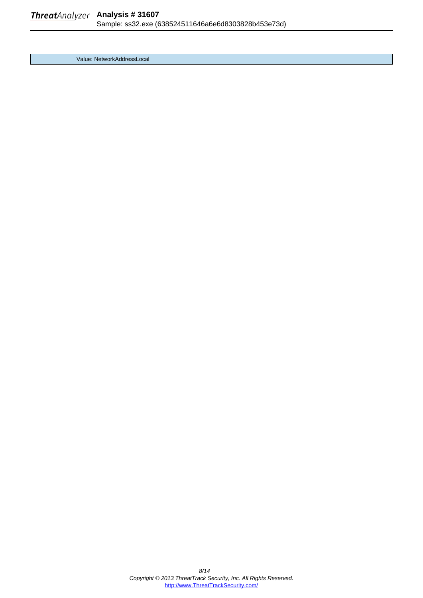Value: NetworkAddressLocal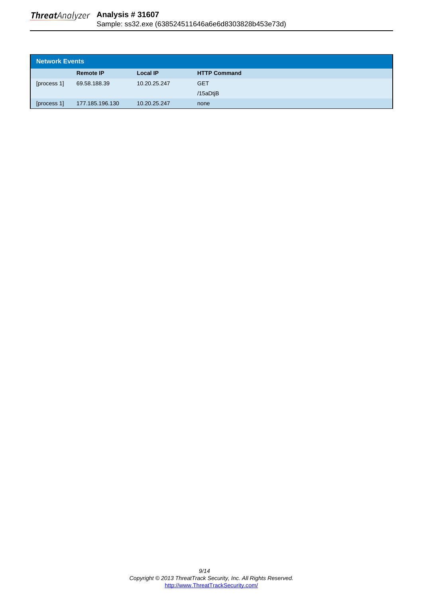<span id="page-8-0"></span>

| Network Events |                  |                 |                     |
|----------------|------------------|-----------------|---------------------|
|                | <b>Remote IP</b> | <b>Local IP</b> | <b>HTTP Command</b> |
| [process 1]    | 69.58.188.39     | 10.20.25.247    | <b>GET</b>          |
|                |                  |                 | /15aDtiB            |
| [process 1]    | 177.185.196.130  | 10.20.25.247    | none                |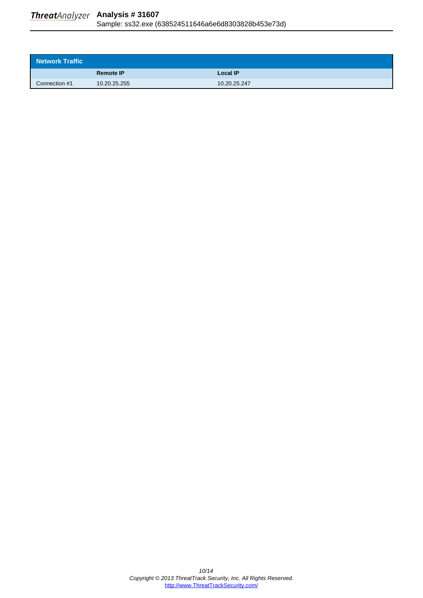<span id="page-9-0"></span>

| Network Traffic |                  |                 |
|-----------------|------------------|-----------------|
|                 | <b>Remote IP</b> | <b>Local IP</b> |
| Connection #1   | 10.20.25.255     | 10.20.25.247    |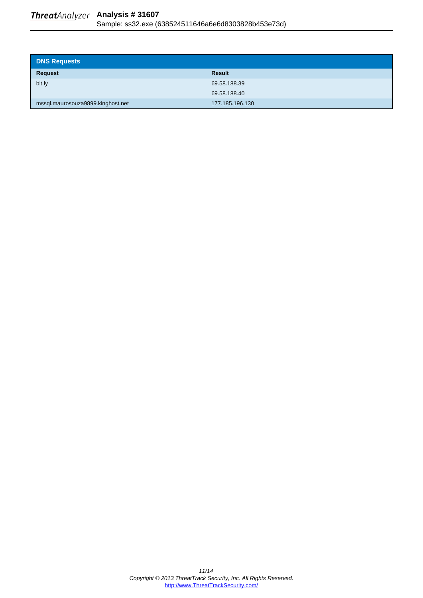<span id="page-10-0"></span>

| <b>DNS Requests</b>               |                 |
|-----------------------------------|-----------------|
| Request                           | <b>Result</b>   |
| bit.ly                            | 69.58.188.39    |
|                                   | 69.58.188.40    |
| mssql.maurosouza9899.kinghost.net | 177.185.196.130 |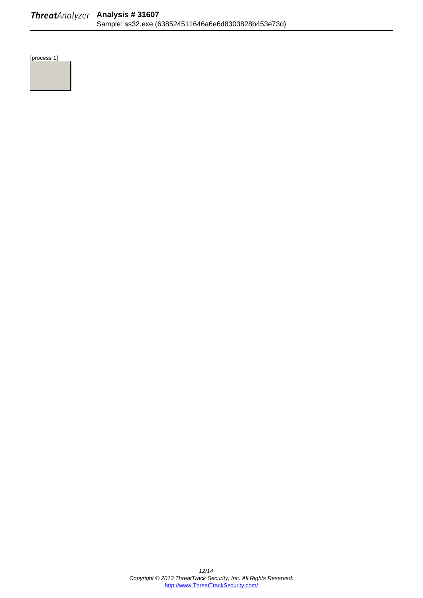<span id="page-11-0"></span>[process 1]

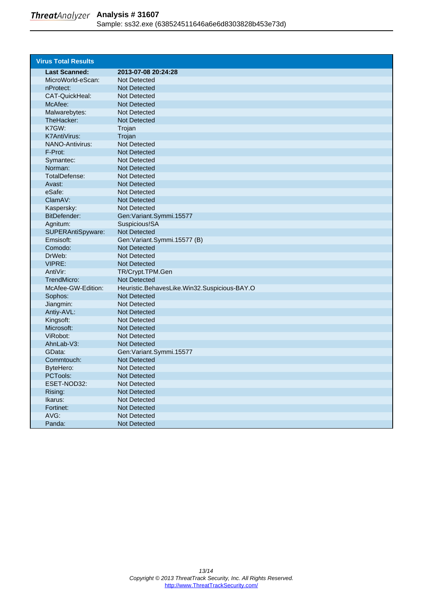<span id="page-12-0"></span>

| <b>Virus Total Results</b> |                                              |
|----------------------------|----------------------------------------------|
| <b>Last Scanned:</b>       | 2013-07-08 20:24:28                          |
| MicroWorld-eScan:          | Not Detected                                 |
| nProtect:                  | <b>Not Detected</b>                          |
| CAT-QuickHeal:             | Not Detected                                 |
| McAfee:                    | <b>Not Detected</b>                          |
| Malwarebytes:              | <b>Not Detected</b>                          |
| TheHacker:                 | <b>Not Detected</b>                          |
| K7GW:                      | Trojan                                       |
| <b>K7AntiVirus:</b>        | Trojan                                       |
| <b>NANO-Antivirus:</b>     | <b>Not Detected</b>                          |
| F-Prot:                    | <b>Not Detected</b>                          |
| Symantec:                  | Not Detected                                 |
| Norman:                    | <b>Not Detected</b>                          |
| TotalDefense:              | <b>Not Detected</b>                          |
| Avast:                     | <b>Not Detected</b>                          |
| eSafe:                     | <b>Not Detected</b>                          |
| ClamAV:                    | <b>Not Detected</b>                          |
| Kaspersky:                 | <b>Not Detected</b>                          |
| BitDefender:               | Gen: Variant. Symmi. 15577                   |
| Agnitum:                   | Suspicious!SA                                |
| SUPERAntiSpyware:          | <b>Not Detected</b>                          |
| Emsisoft:                  | Gen: Variant.Symmi.15577 (B)                 |
| Comodo:                    | <b>Not Detected</b>                          |
| DrWeb:                     | <b>Not Detected</b>                          |
| VIPRE:                     | <b>Not Detected</b>                          |
| AntiVir:                   | TR/Crypt.TPM.Gen                             |
| TrendMicro:                | <b>Not Detected</b>                          |
| McAfee-GW-Edition:         | Heuristic.BehavesLike.Win32.Suspicious-BAY.O |
| Sophos:                    | <b>Not Detected</b>                          |
| Jiangmin:                  | <b>Not Detected</b>                          |
| Antiy-AVL:                 | <b>Not Detected</b>                          |
| Kingsoft:                  | <b>Not Detected</b>                          |
| Microsoft:                 | <b>Not Detected</b>                          |
| ViRobot:                   | Not Detected                                 |
| AhnLab-V3:                 | <b>Not Detected</b>                          |
| GData:                     | Gen: Variant.Symmi.15577                     |
| Commtouch:                 | <b>Not Detected</b>                          |
| ByteHero:                  | Not Detected                                 |
| PCTools:                   | Not Detected                                 |
| ESET-NOD32:                | Not Detected                                 |
| Rising:                    | Not Detected                                 |
| Ikarus:                    | Not Detected                                 |
| Fortinet:                  | Not Detected                                 |
| AVG:                       | Not Detected                                 |
| Panda:                     | Not Detected                                 |